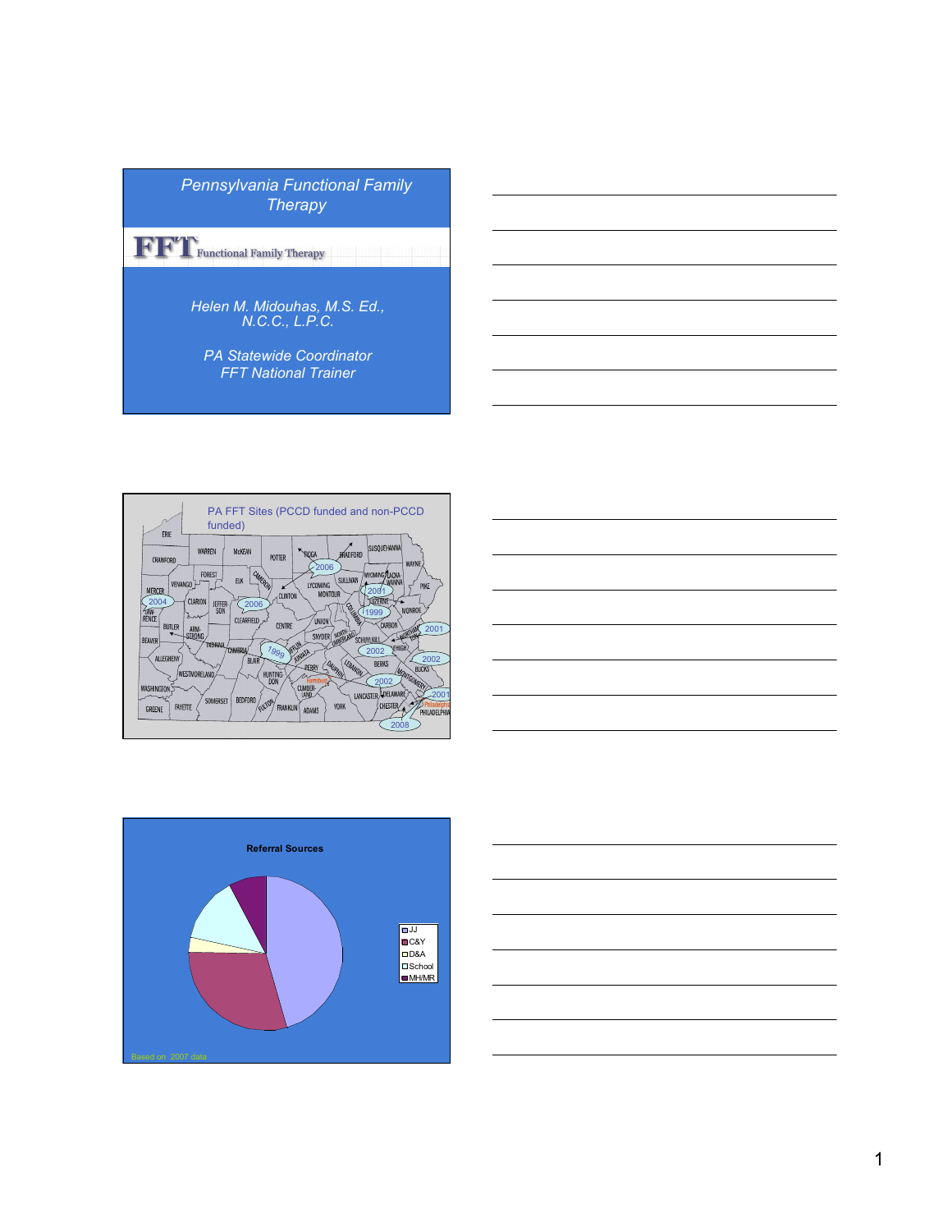| <b>Pennsylvania Functional Family</b><br>Therapy               |
|----------------------------------------------------------------|
| Functional Family Therapy                                      |
| Helen M. Midouhas, M.S. Ed.,<br>N.C.C., L.P.C.                 |
| <b>PA Statewide Coordinator</b><br><b>FFT National Trainer</b> |